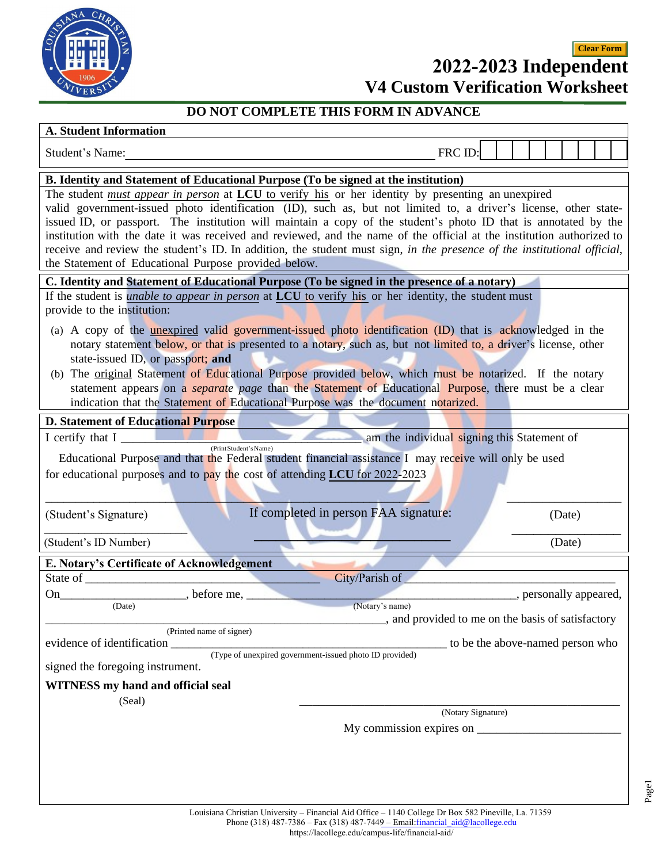

## **2022-2023 Independent Clear Form**

|  | <b>V4 Custom Verification Worksheet</b> |  |
|--|-----------------------------------------|--|
|--|-----------------------------------------|--|

## **DO NOT COMPLETE THIS FORM IN ADVANCE**

### **A. Student Information**

| <b>A. Student Information</b>                                                                                                                                                                                                                                                                                                                                                                                                                                                                                                                                                                                                                                                                                                                     |                                                                    |                                  |  |  |        |                        |
|---------------------------------------------------------------------------------------------------------------------------------------------------------------------------------------------------------------------------------------------------------------------------------------------------------------------------------------------------------------------------------------------------------------------------------------------------------------------------------------------------------------------------------------------------------------------------------------------------------------------------------------------------------------------------------------------------------------------------------------------------|--------------------------------------------------------------------|----------------------------------|--|--|--------|------------------------|
| Student's Name:                                                                                                                                                                                                                                                                                                                                                                                                                                                                                                                                                                                                                                                                                                                                   |                                                                    | FRC ID:                          |  |  |        |                        |
|                                                                                                                                                                                                                                                                                                                                                                                                                                                                                                                                                                                                                                                                                                                                                   |                                                                    |                                  |  |  |        |                        |
| <b>B.</b> Identity and Statement of Educational Purpose (To be signed at the institution)<br>The student must appear in person at LCU to verify his or her identity by presenting an unexpired<br>valid government-issued photo identification (ID), such as, but not limited to, a driver's license, other state-<br>issued ID, or passport. The institution will maintain a copy of the student's photo ID that is annotated by the<br>institution with the date it was received and reviewed, and the name of the official at the institution authorized to<br>receive and review the student's ID. In addition, the student must sign, in the presence of the institutional official,<br>the Statement of Educational Purpose provided below. |                                                                    |                                  |  |  |        |                        |
| C. Identity and Statement of Educational Purpose (To be signed in the presence of a notary)                                                                                                                                                                                                                                                                                                                                                                                                                                                                                                                                                                                                                                                       |                                                                    |                                  |  |  |        |                        |
| If the student is <i>unable to appear in person</i> at LCU to verify his or her identity, the student must<br>provide to the institution:<br>(a) A copy of the <b>unexpired</b> valid government-issued photo identification (ID) that is acknowledged in the<br>notary statement below, or that is presented to a notary, such as, but not limited to, a driver's license, other<br>state-issued ID, or passport; and<br>(b) The original Statement of Educational Purpose provided below, which must be notarized. If the notary<br>statement appears on a <i>separate page</i> than the Statement of Educational Purpose, there must be a clear<br>indication that the Statement of Educational Purpose was the document notarized.            |                                                                    |                                  |  |  |        |                        |
| <b>D. Statement of Educational Purpose</b>                                                                                                                                                                                                                                                                                                                                                                                                                                                                                                                                                                                                                                                                                                        |                                                                    |                                  |  |  |        |                        |
| I certify that I                                                                                                                                                                                                                                                                                                                                                                                                                                                                                                                                                                                                                                                                                                                                  | am the individual signing this Statement of                        |                                  |  |  |        |                        |
| (Print Student's Name)<br>Educational Purpose and that the Federal student financial assistance I may receive will only be used<br>for educational purposes and to pay the cost of attending LCU for 2022-2023                                                                                                                                                                                                                                                                                                                                                                                                                                                                                                                                    |                                                                    |                                  |  |  |        |                        |
| (Student's Signature)                                                                                                                                                                                                                                                                                                                                                                                                                                                                                                                                                                                                                                                                                                                             | If completed in person FAA signature:                              |                                  |  |  | (Date) |                        |
| (Student's ID Number)                                                                                                                                                                                                                                                                                                                                                                                                                                                                                                                                                                                                                                                                                                                             |                                                                    |                                  |  |  | (Date) |                        |
| E. Notary's Certificate of Acknowledgement                                                                                                                                                                                                                                                                                                                                                                                                                                                                                                                                                                                                                                                                                                        |                                                                    |                                  |  |  |        |                        |
| State of                                                                                                                                                                                                                                                                                                                                                                                                                                                                                                                                                                                                                                                                                                                                          | City/Parish of                                                     |                                  |  |  |        |                        |
| before me,<br>On<br>(Date)                                                                                                                                                                                                                                                                                                                                                                                                                                                                                                                                                                                                                                                                                                                        | (Notary's name)<br>and provided to me on the basis of satisfactory |                                  |  |  |        | , personally appeared, |
| (Printed name of signer)                                                                                                                                                                                                                                                                                                                                                                                                                                                                                                                                                                                                                                                                                                                          |                                                                    |                                  |  |  |        |                        |
| evidence of identification (Type of unexpired government-issued photo ID provided)<br>signed the foregoing instrument.                                                                                                                                                                                                                                                                                                                                                                                                                                                                                                                                                                                                                            |                                                                    | to be the above-named person who |  |  |        |                        |
| <b>WITNESS</b> my hand and official seal<br>(Seal)                                                                                                                                                                                                                                                                                                                                                                                                                                                                                                                                                                                                                                                                                                |                                                                    |                                  |  |  |        |                        |
|                                                                                                                                                                                                                                                                                                                                                                                                                                                                                                                                                                                                                                                                                                                                                   |                                                                    | (Notary Signature)               |  |  |        |                        |
|                                                                                                                                                                                                                                                                                                                                                                                                                                                                                                                                                                                                                                                                                                                                                   | My commission expires on                                           |                                  |  |  |        |                        |